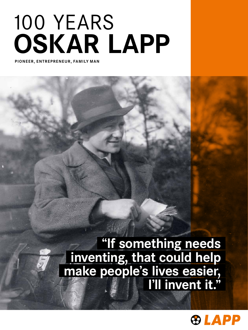# OSKAR LAPP 100 YEARS

PIONEER, ENTREPRENEUR, FAMILY MAN

"If something needs inventing, that could help make people's lives easier, I'll invent it."

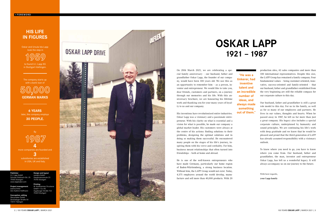### OSKAR LAPP 1921 – 1987

On 20th March 2021, we are celebrating a spe cial family anniversary – our husband, father and grandfather Oskar Lapp, the founder of our compa ny, would have been 100 years old. We use this as an opportunity to remember him – as a person, in ventor and entrepreneur. We would like to take you, dear friends, customers and partners, on a journey through our memories and his life. With this an niversary brochure, we are honouring his lifetime work and thanking you for your many years of loyal ty to us and our company.

His inventions have revolutionised entire industries. Oskar Lapp was a visionary and a passionate entre preneur. With his clarity on what is essential and a vision for what is possible, he made our company a global market leader. His customers were always at the centre of his actions: finding solutions to their problems, designing the optimal solutions and in doing so making them successful. He encountered many people on the stages of his life's journey, in spiring them with his verve and cordiality. For him, business meant relationships that often turned into friendships – both at home and abroad.

He is one of the well-known entrepreneurs who have made Germany, particularly our home region of Baden-Württemberg, a strong business location. Without him, the LAPP Group would not exist. Today, 4,575 employees around the world develop, manu facture and sell more than 40,000 products. With 20

production sites, 43 sales companies and more than 100 international representatives. Despite this size, the LAPP Group has remained a family company. Four fundamental values – being customer-oriented, inno vative, success-oriented and family-oriented – that our husband, father and grandfather established from the very beginning are still the reliable compass for our corporate culture to this day.

 $1987$ more companies are founded and 3 subsidiaries are established in USA, UK and Italy.

Our husband, father and grandfather is still a great role model to this day. For us in the family, as well as for so many of our employees and partners. He lives in our values, thoughts and hearts. When he passed away in 1987, he left us far more than just a great company. His legacy also includes a special corporate culture, underpinned by humanity and sound principles. We are continuing his life's work with deep gratitude and we know that he would be pleased and proud that the third generation of LAPP has already assumed responsibility with a visionary outlook.

To know where you need to go, you have to know where you come from. Our husband, father and grandfather, the man, inventor and entrepreneur Oskar Lapp, has left us a wonderful legacy. It will always accompany us on our journey to the future.

With best regards, your Lapp family

"He was a tinkerer, had inventive talent and an incredible number of ideas, and always made something out of them."

### HIS LIFE IN FIGURES

Publisher U.I. Lapp GmbH Schulze-Delitzsch-Str. 25 70565 Stuttgart www.lappkabel.com

Project management Joanna Amor Ann-Kathrin Hoffmann

Conception, editing Storymaker GmbH Derendinger Straße 50 72072 Tübingen



Design and layout campra GmbH Hauptmannsreute 23 70192 Stuttgart

nmer Druckerei

W. Kohlhar

GmbH + Co. KG Augsburger Straße 722 70329 Stuttgart

Oskar and Ursula Ida Lapp took the step in

1959 to found U.I. Lapp KG

in Stuttgart-Vaihingen.

The company starts up with a bank loan of

50  $,000$ GERMAN MARKS

6 YEARS later, the company employs 30 PEOPLE.

By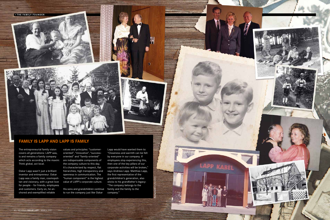The entrepreneurial family vision covers all generations: LAPP was, is and remains a family company

Think global, act local.

**.** THE FAMILY FOUNDER

Oskar Lapp wasn't just a brilliant inventor and entrepreneur. Oskar Lapp was a family man, cosmopolitan and visionary, with a great love for people – for friends, employees



which acts according to the maxim: are indispensable components of values and principles: "customeroriented", "innovative", "successoriented" and "family-oriented" the company culture to this day. It's characterised by respect, flat hierarchies, high transparency and openness in communication. The "human component" is the highest value of LAPP's corporate culture.

> His sons and grandchildren continue family and the family to the to run the company just like Oskar

Lapp would have wanted them to: "Closeness and warmth can be felt by everyone in our company. If employees stop experiencing this, then one of the key pillars of our corporate activities will be broken," says Andreas Lapp. Matthias Lapp, the first representative of the grandchildren's generation, also sticks to his grandfather's legacy: "The company belongs to the company."

FAMILY IS LAPP AND LAPP IS FAMILY

Background: shutterstock

**LAPP KABEL** 

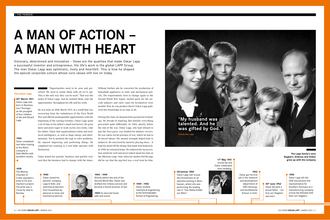"Opportunities need to be seen and perceived. We need to tackle them with all we've got. This is the only way they can be used." That was the motto of Oskar Lapp. And he tackled them, took the opportunities: throughout his life and his work.

He was born on 20th March 1921, in a world that was recovering from the turbulences of the First World War and offered unimaginable opportunities with the beginning of the roaring twenties. Oskar Lapp spent a lot of time in his father's small tool factory. He grew more and more eager to work on his own terms. Like his father, Oskar had organisational talent and technical intelligence, as well as huge energy and determination. Not to mention the urge to solve problems. He enjoyed improving and perfecting things. He completed his training as a tool lathe operator with distinction.

Oskar joined his parents' business and quickly realised that the business had to change with the times.

Visionary, determined and innovative – these are the qualities that made Oskar Lapp a successful inventor and entrepreneur. His life's work is the global LAPP Group. The man Oskar Lapp was optimistic, lively and heartfelt. This is how he shaped the special corporate culture whose core values still live on today.

# A MAN OF ACTION – A MAN WITH HEART

11<sup>th</sup> May 1951 Ursula Ida and Oskar celebrated their wedding.



Without further ado he converted the production of household appliances to tools and mechanical pencils. The requirements were to change again as the Second World War began: turned parts for the aircraft industry and valve cones for locomotives were needed. How do you produce these? Oskar Lapp gathered this knowledge in no time at all.

> 1952 department of VEB Fahrzeug-Simson in Suhl.

20<sup>th</sup> March 1921 Oskar Lapp was born in Benshausen/Thuringia as the youngest of four children of Ida and Eduard Lapp.

During this time, he deepened his passion for technology. He dreamt of studying. But initially everything proceeded quite differently. In 1944, shortly before the end of the war, Oskar Lapp, who had refused to join the Nazi party, was drafted for military service. He was taken Soviet prisoner of war, where he had to do forced labour. His mental strength helped him to endure it. He exercised his mind by playing chess – it kept his mind off the things that made him homesick. In 1949, he returned home. He endured the incarceration relatively well and never talked about his time in the Siberian camp. Only when his mother fed the pigs did he say that the pig feed was a real treat for him.

1944 – 1949

Shortly before the end of the Second World War, Oskar was drafted into military service and became a Soviet prisoner of war.

1949 he returned home safe and sound.

#### 1949 – 1952 Oskar studied mechanical engineering at the Schmalkalden School of Engineering.

6 | 100 YEARS **OSKAR LAPP** | MARCH 2021 17

#### 1955

Oskar Lapp left the GDR and became the representative for Southern Germany of a manufacturing company. Ursula Ida followed with their son Siegbert.

1940

Oskar joined his parents' company, Lapp & Roth, and switched production from household appliances to tools and mechanical pencils.



Christmas 1950 Oskar Lapp met Ursula Ida Emmelmann at an operetta evening in Benshausen, where she was performing the leading role in "Das Walzermädel von Wien".

Oskar got his first job in the research and development und Gerätewerke

30th June 1952 Oskar became a proud father – his first son Siegbert was born.

#### 1939

The Weimar Chamber of Crafts awarded a prize to his journeyman's project. The prize was a cruise by ship to Norway.

#### 1936

Oskar completed tool lathe training at the Röhm company in Zella-Mehlis with excellent results.

#### Vita Oskar Lapp

The Lapp family's sons Siegbert, Andreas and Volker grew up with the company

"My husband was talented. And he

was gifted by God."

Ursula Ida Lapp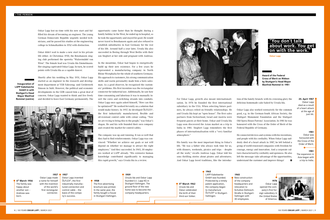Oskar Lapp lost no time with his new start and fulfilled his dream of becoming an engineer. The young German Democratic Republic urgently needed technicians, and he passed his studies at the engineering college in Schmalkalden in 1952 with distinction.

Shortly after his wedding in May 1951, Oskar Lapp started as an engineer in the research and develop-Simson in Suhl. However, the political and economic developments in the GDR caused him a great deal of concern. Oskar Lapp wanted to think and live freely and decided to leave East Germany permanently. The sert the cores and switching strands into conduits. For Oskar Lapp, growth also meant internationali-



Oskar didn't wait to make a new start in his private life either. At Christmas 1950, the Benshausen singing club performed the operetta "Walzermädel von Wien". The female lead was Ursula Ida Emmelmann. Her singing captivated Oskar Lapp. In turn, he scored points with Ursula Ida as a capable dancer.

> sation. In 1976 he founded the first international subsidiary in the USA. When selecting future partners, he always relied on friendly relationships. He and Ursula Ida kept an "open house". The first sales partners from Switzerland, Israel and Austria were frequent guests at their home. Oskar and Ursula Ida Lapp soon discovered the Asian market on a trip to India in 1981. Siegbert Lapp remembers the first phases of internationalisation with a "very familiar atmosphere."

> His family was the most important thing in Oskar's life. "He was a father who always took time for us, with dinners, weekends, picnics and trips – despite all the work," recalls Andreas Lapp. Oskar told his sons thrilling stories about pirates and adventures. And Oskar Lapp loved traditions, like the introduc-

opportunity came faster than he thought: during a family holiday in the West, he ended up in hospital, so he took the opportunity and stayed for good. He would never travel to Benshausen again and also refused to establish subsidiaries in East Germany for the rest of his life. Around half a year later, Ursula Ida also succeeded in fleeing through West Berlin with their son Siegbert at her side and pregnant with Andreas.

> He connected devices and systems with his inventions, and people with his cordiality. When Oskar Lapp suddenly died of a heart attack in 1987, he left behind a group of world-renowned companies with freedom for courage, energy and innovation. And a corporate culture characterised by cordiality and openness. He also left the message: take advantage of the opportunities, understand the customer and improve things!  $\bullet$



In the meantime, Oskar had begun to energetically build up their new existence. For a few years he represented a manufacturing company in North Rhine-Westphalia for the whole of southern Germany. His approach to customers, his strong communication skills and warm personality made him a born salesman. As a good observer, he recognised the customers' problems. His first invention was the rectangular connector for industrial use. Additionally, he saw how time-consuming and laborious it was to manually insert the cores and switching strands into conduits. Oskar Lapp once again asked himself, "How can this be optimised?" He worked fervently on a solution that would make history. In 1957, he developed ÖLFLEX®, the first industrially manufactured, flexible and oil-resistant control cable with colour coding. "Now we are trying to bring this to the people," was Oskar's slogan. He and his wife founded their own company and created the market for control cables.

> 5<sup>th</sup> March 1962 Ursula Ida and Oskar celebrated the birth of their third son Volker.

25. April 1987 Oskar Lapp died as a result of a heart attack at the age of just 66.

The company was up and running. It ran so well that they had to find reinforcements. Oskar Lapp was convinced: "Whether we achieve our goals or not will depend on whether we manage to attract the right employees." And they succeeded. In 1965, 30 employees worked at LAPP already. "His extensive human knowledge contributed significantly to managing this rapid growth," says Ursula Ida in a review.

tion of the family brunch: with its crowning glory the delicious homemade cake baked by Ursula Ida.

Oskar Lapp also worked extensively for the common good, e.g. in the German-South African Society, the Stuttgart Monument Foundation and the Stuttgart Old Opera House Patrons' Association. In 1981 he was honoured with the Cross of the Order of Merit of the Federal Republic of Germany.

Award of the Federal Cross of Merit on Ribbon by Stuttgart's Head Mayor

LAPP Kabelwerke GmbH in with Stuttgart's Head Mayor Manfred Rommel (centre)



Oskar Lapp

6th March 1956 The family was happy about another son – Andreas was born.

1957

1957

Oskar Lapp made a name for himself with the invention of the world's first rectangular connector. Oskar Lapp invented ÖLFLEX®, the first industrially manufactured connection and control cable – the basis of the company's success.

1958

The first advertising brochure was printed. In the same year, the family bought a house in Stuttgart-Vaihingen. 1959

Ursula Ida and Oskar Lapp founded U.I. Lapp KG in

Stuttgart-Vaihingen. The ground floor of the new home was to become the company headquarters.

1963

LAPP Kabelwerke GmbH was founded. Protected by a timely patent application, the company began to manufacture ÖLFLEX® in Stuttgart-Vaihingen.

1965 New construction of the company headquarters and relocation to Schultze-Delitzsch-Straße in Stuttgart-Vaihingen with 30 employees.

1976 Oskar Lapp opened the company's first foreign subsidiary in the United States of America.



1981 Oskar was honoured with the Cross of the Order of Merit.

1981 The expansion in Asia began with a trip to India.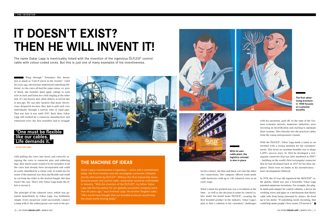"Ring through." Nowadays this means just as much as "Call if you're in the vicinity". Until 60 years ago, electricians understood something different. As the cores all had the same colour, i.e. grey or black, the installer must apply voltage to each wire in turn and listen for a bell ringing at the other end. It's not known how often defects occurred due to mix-ups. We can only surmise that many electricians despaired because they had to pull each core individually through a narrow tube or rigid pipe. That was how it was until 1957. Back then, Oskar Lapp still worked for a connector manufacturer and witnessed every day how installers had to struggle

with pulling the cores into hoses and correctly assigning the cores to connector pins and soldering lugs. How much easier would it be for installers if all the cores had already been incorporated and could be easily identified by a colour code. It would also be easier if the material was thin and flexible and could be cut from the roller to the desired length. But that wasn't the case. That's why Oskar Lapp made the effort to invent it.

The principle of the coloured cores, which was patented immediately by Oskar Lapp, was brilliantly simple. Every layperson could successfully connect a lamp with it: the yellow/green core went to the pro-



tective contact, the blue and black core into the other two connections. The company offered ready-made cable harnesses with up to 130 coloured cores at an early stage.

The name Oskar Lapp is inextricably linked with the invention of the ingenious OLFLEX<sup>®</sup> control cable with colour-coded cores. But this is just one of many examples of his inventiveness.

### "One must be flexible like our cables. Life demands it."

What's taken for granted now was a revolution at the time – as well as the decision to name its control cables under the brand name ÖLFLEX®, creating the first branded product in the industry. Oskar Lapp's plan to find a solution to his customers' challenges

with his invention, paid off. At the time of the German economic miracle, numerous industries were investing in electrification and starting to automate their systems. They literally tore the practical cables from the young entrepreneur's hands.

Oskar Lapp's inventiveness is legendary - and is still a commitment today. His first invention was the rectangular connector, followed shortly afterwards by ÖLFLEX<sup>®</sup>. Without this first industrially manufactured power and control cable, automation would be unthinkable in industry. "With the invention of the ÖLFLEX®, my father Oskar Lapp laid the foundation for our globally successful company more than 60 years ago," says Andreas Lapp. His brother Siegbert adds: "Who would have thought that our branded products would keep the whole world moving today."





With the ÖLFLEX®, Oskar Lapp made a name as an inventor with a strong intuition for the customers' needs. This focus on customer benefits was to shape LAPP's success story. In 1963 he developed a rectangular connector that was later marketed as EPIC® – building on the world's first rectangular connector that he had developed back in 1957 for his then employer. There were no limits to his inventiveness – more developments followed.

In 1978, the 57-year old registered the SKINTOP® cable glands, which was also a bestseller. Oskar Lapp patented numerous inventions. For example, the plugin multi-pole adapter for control cabinets, a device for earthing wires and pipes or a mechanism that blocks cable rolls from being unwound by chance. He lived up to his motto: "If something needs inventing, that could help make people's lives easier, I'll invent it."

## IT DOESN'T EXIST? THEN HE WILL INVENT IT!

Ursula Ida Lapp



The first advertising brochure in 1958 focuses on customer benefits

With its own cable plant, the logistics concept is also in place

### THE MACHINE OF IDEAS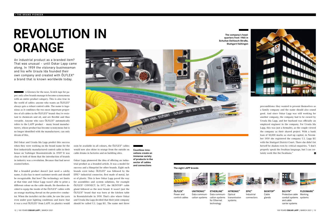A Kleenex for the nose, Scotch tape for paper: only a few brands manage to become synonymous with an entire product category. This is also true in the world of cables: anyone who wants an ÖLFLEX® always gets a robust control cable. The name is ingenious as it combines the two most important properties of all cables in the ÖLFLEX® brand: they're resistant to chemicals and oil, and are flexible and thus versatile. Anyone who says ÖLFLEX® automatically refers to the LAPP product – many brand manufacturers, whose product has become synonymous but is no longer identified with the manufacturer, can only dream of this.

preconditions: they wanted to present themselves as a family company and the name should also sound good. And since Oskar Lapp was still working for another company, the company had to be owned by Ursula Ida Lapp, and her husband was officially an employed engineer in the company. For Ursula Ida Lapp, this was just a formality, as the couple viewed the company as their shared project. With a bank loan of 50,000 marks as start-up capital, in November 1959 she registered the company U.I. Lapp KG with the Stuttgart District Court. There she didn't let herself be shaken even by critical enquiries. "I don't properly speak the Swabian language, but I can certainly work like the Swabians."  $\mathbf{a}$ 

Did Oskar and Ursula Ida Lapp predict this success when they were working on the brand name for the first industrially manufactured control cable in their house on Vaihinger Rosentalstraße in 1959? It was clear to both of them that the introduction of brands in industry was a revolution. Because that had never existed before.

But a branded product doesn't just need a catchy name, it also has to meet customer needs and should be recognisable. But how? The technology set limits at that time and Oskar Lapp wasn't able to print a different colour on the cable sheath. He therefore decided to equip the inside of the ÖLFLEX® cables with an orange marking thread on the protective conductor. When the installer cut the cable, he saw the yarn even under poor lighting conditions and knew that it was a real ÖLFLEX® from LAPP. As plastics would

An industrial product as a branded item? That was unusual – until Oskar Lapp came along. In 1959 the visionary businessman and his wife Ursula Ida founded their own company and created with ÖLFLEX® a brand that is known worldwide today.

> soon be available in all colours, the ÖLFLEX® cables would now also shine in orange from the outside on cable drums in factories and on building sites.

Oskar Lapp pioneered the idea of offering an industrial product as a branded article. It was a model for success and a blueprint for other brands. Eight such brands exist today: ÖLFLEX® was followed by the EPIC® industrial connector, first made of metal, later of plastic. This is how Oskar Lapp paved the way for assemblies and system solutions, for example ÖLFLEX® CONNECT. In 1977, the SKINTOP® cable gland followed as the next brand. It wasn't just the ÖLFLEX® brand that was born at the kitchen table in Rosentalstraße in 1959. That's also where Oskar and Ursula Ida Lapp decided that their joint company should be called U.I. Lapp KG. The name met three

# REVOLUTION IN ORANGE

UNITRONIC® Data communication systems



ETHERLINE® Data communication systems for Ethernet technology Optical systems





SKINTOP® Cable glands



SILVYN® Protective cable Marking conduit systems systems and cable carrier systems



EPIC® Industrial connectors



FLEXIMARK®

ÖLFLEX® Power and control cables



The company's headquarters from 1965 in Schultze-Delitzsch-Straße, Stuttgart-Vaihingen





Countless innovations create an immense variety of products in the sector of cables and connections

#### The eight LAPP brands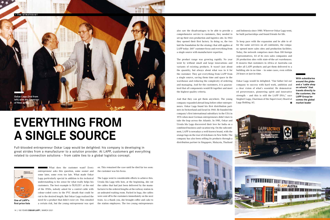What does the customer want? Every entrepreneur asks this question, some sooner and some later, some even too late. What made Oskar Lapp particularly special in addition to his technical understanding is his sense for what really helps his customers. The best example is ÖLFLEX®: at the end of the 1950s, nobody asked for a control cable with colour-coded cores in the PVC sheath that could be cut to the desired length. But Oskar Lapp realised the need for a product that didn't exist yet. This entailed a certain risk, but the young entrepreneur was spot

also saw the disadvantages: to be able to provide a comprehensive service to customers, they needed to set up their own production and logistics site. In 1963 they opened their first factory. In doing so, the two laid the foundation for the strategy that still applies at LAPP today: 360° customer focus and everything from a single source with manufacturer expertise.

The product range was growing rapidly. No year went by without small and large innovations and variants of existing products. It wasn't just about the quantity, but always about what was in it for the customer. They got everything from LAPP from a single source, saving them time and space in the warehouse and reducing the complexity of ordering and managing. And for the customers, it is guaranteed that all components would fit together and meet the highest quality criteria.

Oskar Lapp would be delighted. "Our father led our company to success with hard work, ambition and a clear vision of what's essential. He demonstrated perseverance, pioneering spirit and innovative strength – and this is still the LAPP DNA," says Siegbert Lapp, Chairman of the Supervisory Board at Lapp Holding AG.  $\blacksquare$ 

And that they can get them anywhere. The young company expanded abroad long before other entrepreneurs. Oskar Lapp found his first distribution partners in Switzerland and Israel in 1960. He founded the company's first international subsidiary in the USA in 1976 when most German entrepreneurs didn't dare to take the leap across the Atlantic. In 1981, Oskar and Ursula Ida Lapp discovered their love for India on a combined business and vacation trip. On the subcontinent, LAPP is nowadays a well-known brand, with the orange logo on the rear of rickshaws in New Delhi. The company has also been selling its products through a distribution partner in Singapore, Malaysia, Thailand



and Indonesia since 1980. Wherever Oskar Lapp went, he built partnerships and found friends for life.

To keep pace with the expansion and be able to offer the same services on all continents, the company opened more sales sites and production facilities. Today, the network comprises more than 100 foreign representatives, 43 of its own sales companies and 20 production sites with state-of-the-art warehouses. It ensures that customers in Africa or Australia can order all LAPP products and get them delivered to a building site in no time – in some cases, even within 24 hours or just-in-time.

on. This remained the case until he died far too soon: the customer was his focus.

The Lapps went to considerable efforts to achieve this. Ursula Ida Lapp tells how, at the beginning, she cut the cables that had just been delivered by the manufacturer to the ordered lengths at the railway station in an unheated waiting room. Packed in bags, the cables were sent off to the customers immediately on the next train. As a thank you, she brought coffee and cake to the station employees. The two young entrepreneurs

Full-blooded entrepreneur Oskar Lapp would be delighted: his company is developing in great strides from a manufacturer to a solution provider. At LAPP, customers get everything related to connection solutions – from cable ties to a global logistics concept.



# EVERYTHING FROM A SINGLE SOURCE

One of LAPP's first price lists

With subsidiaries around the globe and a "cable shop on wheels" that travels directly to the customer, the LAPP Group becomes the global market leader





14 | 100 YEARS OSKAR LAPP | MARCH 2021